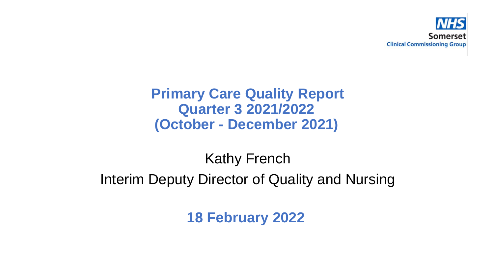

#### **Primary Care Quality Report Quarter 3 2021/2022 (October - December 2021)**

# Kathy French Interim Deputy Director of Quality and Nursing

**18 February 2022**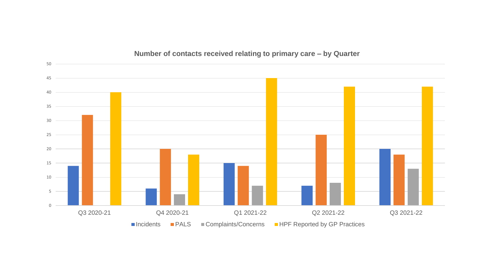

#### **Number of contacts received relating to primary care – by Quarter**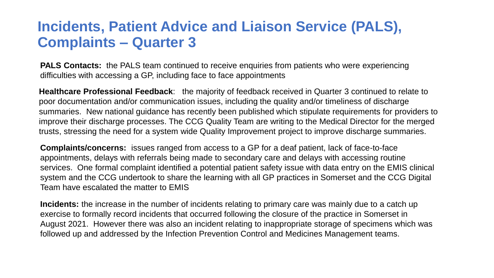#### **Incidents, Patient Advice and Liaison Service (PALS), Complaints – Quarter 3**

**PALS Contacts:** the PALS team continued to receive enquiries from patients who were experiencing difficulties with accessing a GP, including face to face appointments

**Healthcare Professional Feedback**: the majority of feedback received in Quarter 3 continued to relate to poor documentation and/or communication issues, including the quality and/or timeliness of discharge summaries. New national guidance has recently been published which stipulate requirements for providers to improve their discharge processes. The CCG Quality Team are writing to the Medical Director for the merged trusts, stressing the need for a system wide Quality Improvement project to improve discharge summaries.

**Complaints/concerns:** issues ranged from access to a GP for a deaf patient, lack of face-to-face appointments, delays with referrals being made to secondary care and delays with accessing routine services. One formal complaint identified a potential patient safety issue with data entry on the EMIS clinical system and the CCG undertook to share the learning with all GP practices in Somerset and the CCG Digital Team have escalated the matter to EMIS

**Incidents:** the increase in the number of incidents relating to primary care was mainly due to a catch up exercise to formally record incidents that occurred following the closure of the practice in Somerset in August 2021. However there was also an incident relating to inappropriate storage of specimens which was followed up and addressed by the Infection Prevention Control and Medicines Management teams.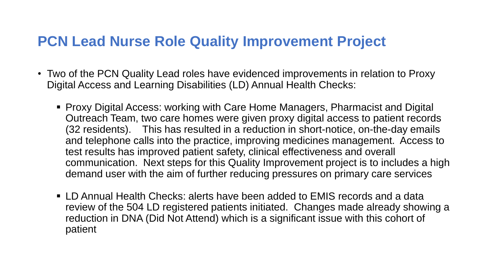#### **PCN Lead Nurse Role Quality Improvement Project**

- Two of the PCN Quality Lead roles have evidenced improvements in relation to Proxy Digital Access and Learning Disabilities (LD) Annual Health Checks:
	- Proxy Digital Access: working with Care Home Managers, Pharmacist and Digital Outreach Team, two care homes were given proxy digital access to patient records (32 residents). This has resulted in a reduction in short-notice, on-the-day emails and telephone calls into the practice, improving medicines management. Access to test results has improved patient safety, clinical effectiveness and overall communication. Next steps for this Quality Improvement project is to includes a high demand user with the aim of further reducing pressures on primary care services
	- LD Annual Health Checks: alerts have been added to EMIS records and a data review of the 504 LD registered patients initiated. Changes made already showing a reduction in DNA (Did Not Attend) which is a significant issue with this cohort of patient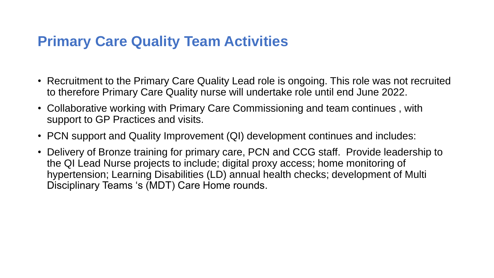# **Primary Care Quality Team Activities**

- Recruitment to the Primary Care Quality Lead role is ongoing. This role was not recruited to therefore Primary Care Quality nurse will undertake role until end June 2022.
- Collaborative working with Primary Care Commissioning and team continues , with support to GP Practices and visits.
- PCN support and Quality Improvement (QI) development continues and includes:
- Delivery of Bronze training for primary care, PCN and CCG staff. Provide leadership to the QI Lead Nurse projects to include; digital proxy access; home monitoring of hypertension; Learning Disabilities (LD) annual health checks; development of Multi Disciplinary Teams 's (MDT) Care Home rounds.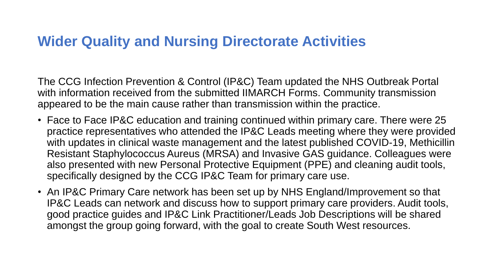#### **Wider Quality and Nursing Directorate Activities**

The CCG Infection Prevention & Control (IP&C) Team updated the NHS Outbreak Portal with information received from the submitted IIMARCH Forms. Community transmission appeared to be the main cause rather than transmission within the practice.

- Face to Face IP&C education and training continued within primary care. There were 25 practice representatives who attended the IP&C Leads meeting where they were provided with updates in clinical waste management and the latest published COVID-19, Methicillin Resistant Staphylococcus Aureus (MRSA) and Invasive GAS guidance. Colleagues were also presented with new Personal Protective Equipment (PPE) and cleaning audit tools, specifically designed by the CCG IP&C Team for primary care use.
- An IP&C Primary Care network has been set up by NHS England/Improvement so that IP&C Leads can network and discuss how to support primary care providers. Audit tools, good practice guides and IP&C Link Practitioner/Leads Job Descriptions will be shared amongst the group going forward, with the goal to create South West resources.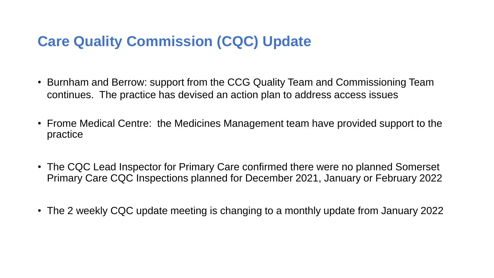# **Care Quality Commission (CQC) Update**

- Burnham and Berrow: support from the CCG Quality Team and Commissioning Team continues. The practice has devised an action plan to address access issues
- Frome Medical Centre: the Medicines Management team have provided support to the practice
- The CQC Lead Inspector for Primary Care confirmed there were no planned Somerset Primary Care CQC Inspections planned for December 2021, January or February 2022
- The 2 weekly CQC update meeting is changing to a monthly update from January 2022